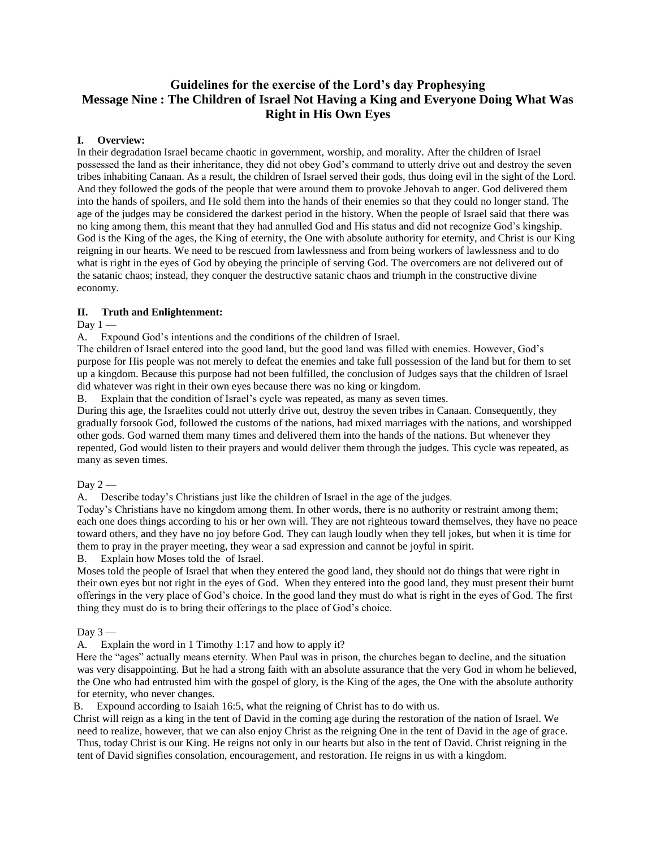# **Guidelines for the exercise of the Lord's day Prophesying Message Nine : The Children of Israel Not Having a King and Everyone Doing What Was Right in His Own Eyes**

## **I. Overview:**

In their degradation Israel became chaotic in government, worship, and morality. After the children of Israel possessed the land as their inheritance, they did not obey God's command to utterly drive out and destroy the seven tribes inhabiting Canaan. As a result, the children of Israel served their gods, thus doing evil in the sight of the Lord. And they followed the gods of the people that were around them to provoke Jehovah to anger. God delivered them into the hands of spoilers, and He sold them into the hands of their enemies so that they could no longer stand. The age of the judges may be considered the darkest period in the history. When the people of Israel said that there was no king among them, this meant that they had annulled God and His status and did not recognize God's kingship. God is the King of the ages, the King of eternity, the One with absolute authority for eternity, and Christ is our King reigning in our hearts. We need to be rescued from lawlessness and from being workers of lawlessness and to do what is right in the eyes of God by obeying the principle of serving God. The overcomers are not delivered out of the satanic chaos; instead, they conquer the destructive satanic chaos and triumph in the constructive divine economy.

## **II. Truth and Enlightenment:**

Day  $1 -$ 

A. Expound God's intentions and the conditions of the children of Israel.

The children of Israel entered into the good land, but the good land was filled with enemies. However, God's purpose for His people was not merely to defeat the enemies and take full possession of the land but for them to set up a kingdom. Because this purpose had not been fulfilled, the conclusion of Judges says that the children of Israel did whatever was right in their own eyes because there was no king or kingdom.

B. Explain that the condition of Israel's cycle was repeated, as many as seven times.

During this age, the Israelites could not utterly drive out, destroy the seven tribes in Canaan. Consequently, they gradually forsook God, followed the customs of the nations, had mixed marriages with the nations, and worshipped other gods. God warned them many times and delivered them into the hands of the nations. But whenever they repented, God would listen to their prayers and would deliver them through the judges. This cycle was repeated, as many as seven times.

Day  $2-$ 

A. Describe today's Christians just like the children of Israel in the age of the judges.

Today's Christians have no kingdom among them. In other words, there is no authority or restraint among them; each one does things according to his or her own will. They are not righteous toward themselves, they have no peace toward others, and they have no joy before God. They can laugh loudly when they tell jokes, but when it is time for them to pray in the prayer meeting, they wear a sad expression and cannot be joyful in spirit.

B. Explain how Moses told the of Israel.

Moses told the people of Israel that when they entered the good land, they should not do things that were right in their own eyes but not right in the eyes of God. When they entered into the good land, they must present their burnt offerings in the very place of God's choice. In the good land they must do what is right in the eyes of God. The first thing they must do is to bring their offerings to the place of God's choice.

### Day  $3-$

A. Explain the word in 1 Timothy 1:17 and how to apply it?

Here the "ages" actually means eternity. When Paul was in prison, the churches began to decline, and the situation was very disappointing. But he had a strong faith with an absolute assurance that the very God in whom he believed, the One who had entrusted him with the gospel of glory, is the King of the ages, the One with the absolute authority for eternity, who never changes.

B. Expound according to Isaiah 16:5, what the reigning of Christ has to do with us.

Christ will reign as a king in the tent of David in the coming age during the restoration of the nation of Israel. We need to realize, however, that we can also enjoy Christ as the reigning One in the tent of David in the age of grace. Thus, today Christ is our King. He reigns not only in our hearts but also in the tent of David. Christ reigning in the tent of David signifies consolation, encouragement, and restoration. He reigns in us with a kingdom.